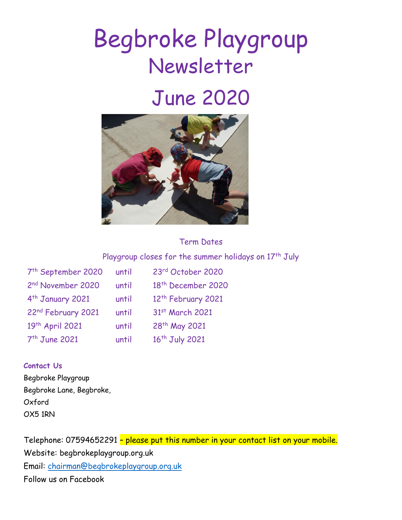# Begbroke Playgroup Newsletter

# June 2020



# Term Dates

# Playgroup closes for the summer holidays on  $17<sup>th</sup>$  July

| 7 <sup>th</sup> September 2020 | until | 23rd October 2020              |
|--------------------------------|-------|--------------------------------|
| 2nd November 2020              | until | 18 <sup>th</sup> December 2020 |
| 4 <sup>th</sup> January 2021   | until | 12 <sup>th</sup> February 2021 |
| 22nd February 2021             | until | 31st March 2021                |
| 19th April 2021                | until | 28 <sup>th</sup> May 2021      |
| 7 <sup>th</sup> June 2021      | until | 16 <sup>th</sup> July 2021     |

#### **Contact Us**

Begbroke Playgroup Begbroke Lane, Begbroke, Oxford OX5 1RN

Telephone: 07594652291 – please put this number in your contact list on your mobile. Website: begbrokeplaygroup.org.uk Email: [chairman@begbrokeplaygroup.org.uk](mailto:chairman@begbrokeplaygroup.org.uk) Follow us on Facebook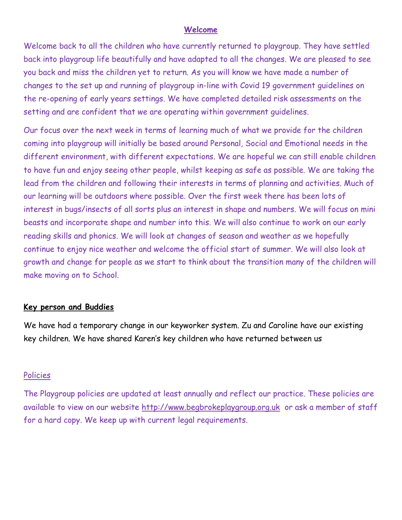#### **Welcome**

Welcome back to all the children who have currently returned to playgroup. They have settled back into playgroup life beautifully and have adapted to all the changes. We are pleased to see you back and miss the children yet to return. As you will know we have made a number of changes to the set up and running of playgroup in-line with Covid 19 government guidelines on the re-opening of early years settings. We have completed detailed risk assessments on the setting and are confident that we are operating within government guidelines.

Our focus over the next week in terms of learning much of what we provide for the children coming into playgroup will initially be based around Personal, Social and Emotional needs in the different environment, with different expectations. We are hopeful we can still enable children to have fun and enjoy seeing other people, whilst keeping as safe as possible. We are taking the lead from the children and following their interests in terms of planning and activities. Much of our learning will be outdoors where possible. Over the first week there has been lots of interest in bugs/insects of all sorts plus an interest in shape and numbers. We will focus on mini beasts and incorporate shape and number into this. We will also continue to work on our early reading skills and phonics. We will look at changes of season and weather as we hopefully continue to enjoy nice weather and welcome the official start of summer. We will also look at growth and change for people as we start to think about the transition many of the children will make moving on to School.

#### **Key person and Buddies**

We have had a temporary change in our keyworker system. Zu and Caroline have our existing key children. We have shared Karen's key children who have returned between us

#### Policies

The Playgroup policies are updated at least annually and reflect our practice. These policies are available to view on our website [http://www.begbrokeplaygroup.org.uk](http://www.begbrokeplaygroup.org.uk/) or ask a member of staff for a hard copy. We keep up with current legal requirements.